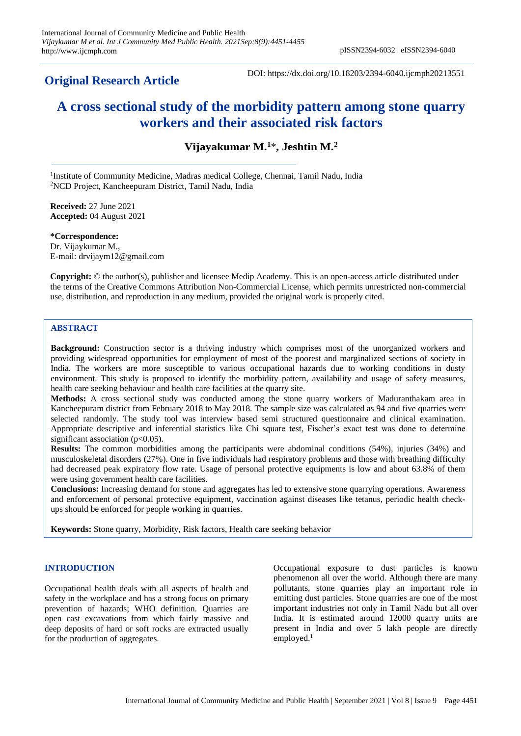## **Original Research Article**

DOI: https://dx.doi.org/10.18203/2394-6040.ijcmph20213551

# **A cross sectional study of the morbidity pattern among stone quarry workers and their associated risk factors**

**Vijayakumar M.<sup>1</sup>**\***, Jeshtin M.<sup>2</sup>**

<sup>1</sup>Institute of Community Medicine, Madras medical College, Chennai, Tamil Nadu, India <sup>2</sup>NCD Project, Kancheepuram District, Tamil Nadu, India

**Received:** 27 June 2021 **Accepted:** 04 August 2021

**\*Correspondence:** Dr. Vijaykumar M., E-mail: drvijaym12@gmail.com

**Copyright:** © the author(s), publisher and licensee Medip Academy. This is an open-access article distributed under the terms of the Creative Commons Attribution Non-Commercial License, which permits unrestricted non-commercial use, distribution, and reproduction in any medium, provided the original work is properly cited.

## **ABSTRACT**

**Background:** Construction sector is a thriving industry which comprises most of the unorganized workers and providing widespread opportunities for employment of most of the poorest and marginalized sections of society in India. The workers are more susceptible to various occupational hazards due to working conditions in dusty environment. This study is proposed to identify the morbidity pattern, availability and usage of safety measures, health care seeking behaviour and health care facilities at the quarry site.

**Methods:** A cross sectional study was conducted among the stone quarry workers of Maduranthakam area in Kancheepuram district from February 2018 to May 2018. The sample size was calculated as 94 and five quarries were selected randomly. The study tool was interview based semi structured questionnaire and clinical examination. Appropriate descriptive and inferential statistics like Chi square test, Fischer's exact test was done to determine significant association ( $p<0.05$ ).

**Results:** The common morbidities among the participants were abdominal conditions (54%), injuries (34%) and musculoskeletal disorders (27%). One in five individuals had respiratory problems and those with breathing difficulty had decreased peak expiratory flow rate. Usage of personal protective equipments is low and about 63.8% of them were using government health care facilities.

**Conclusions:** Increasing demand for stone and aggregates has led to extensive stone quarrying operations. Awareness and enforcement of personal protective equipment, vaccination against diseases like tetanus, periodic health checkups should be enforced for people working in quarries.

**Keywords:** Stone quarry, Morbidity, Risk factors, Health care seeking behavior

## **INTRODUCTION**

Occupational health deals with all aspects of health and safety in the workplace and has a strong focus on primary prevention of hazards; WHO definition. Quarries are open cast excavations from which fairly massive and deep deposits of hard or soft rocks are extracted usually for the production of aggregates.

Occupational exposure to dust particles is known phenomenon all over the world. Although there are many pollutants, stone quarries play an important role in emitting dust particles. Stone quarries are one of the most important industries not only in Tamil Nadu but all over India. It is estimated around 12000 quarry units are present in India and over 5 lakh people are directly employed.<sup>1</sup>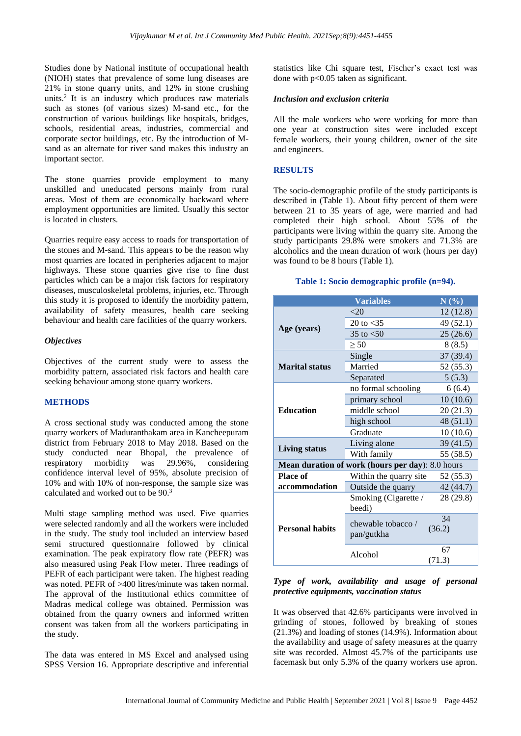Studies done by National institute of occupational health (NIOH) states that prevalence of some lung diseases are 21% in stone quarry units, and 12% in stone crushing units.<sup>2</sup> It is an industry which produces raw materials such as stones (of various sizes) M-sand etc., for the construction of various buildings like hospitals, bridges, schools, residential areas, industries, commercial and corporate sector buildings, etc. By the introduction of Msand as an alternate for river sand makes this industry an important sector.

The stone quarries provide employment to many unskilled and uneducated persons mainly from rural areas. Most of them are economically backward where employment opportunities are limited. Usually this sector is located in clusters.

Quarries require easy access to roads for transportation of the stones and M-sand. This appears to be the reason why most quarries are located in peripheries adjacent to major highways. These stone quarries give rise to fine dust particles which can be a major risk factors for respiratory diseases, musculoskeletal problems, injuries, etc. Through this study it is proposed to identify the morbidity pattern, availability of safety measures, health care seeking behaviour and health care facilities of the quarry workers.

## *Objectives*

Objectives of the current study were to assess the morbidity pattern, associated risk factors and health care seeking behaviour among stone quarry workers.

#### **METHODS**

A cross sectional study was conducted among the stone quarry workers of Maduranthakam area in Kancheepuram district from February 2018 to May 2018. Based on the study conducted near Bhopal, the prevalence of respiratory morbidity was 29.96%, considering confidence interval level of 95%, absolute precision of 10% and with 10% of non-response, the sample size was calculated and worked out to be 90.<sup>3</sup>

Multi stage sampling method was used. Five quarries were selected randomly and all the workers were included in the study. The study tool included an interview based semi structured questionnaire followed by clinical examination. The peak expiratory flow rate (PEFR) was also measured using Peak Flow meter. Three readings of PEFR of each participant were taken. The highest reading was noted. PEFR of >400 litres/minute was taken normal. The approval of the Institutional ethics committee of Madras medical college was obtained. Permission was obtained from the quarry owners and informed written consent was taken from all the workers participating in the study.

The data was entered in MS Excel and analysed using SPSS Version 16. Appropriate descriptive and inferential statistics like Chi square test, Fischer's exact test was done with p<0.05 taken as significant.

#### *Inclusion and exclusion criteria*

All the male workers who were working for more than one year at construction sites were included except female workers, their young children, owner of the site and engineers.

#### **RESULTS**

The socio-demographic profile of the study participants is described in (Table 1). About fifty percent of them were between 21 to 35 years of age, were married and had completed their high school. About 55% of the participants were living within the quarry site. Among the study participants 29.8% were smokers and 71.3% are alcoholics and the mean duration of work (hours per day) was found to be 8 hours (Table 1).

## **Table 1: Socio demographic profile (n=94).**

|                        | <b>Variables</b>                                 | N(%          |
|------------------------|--------------------------------------------------|--------------|
| Age (years)            | $<$ 20                                           | 12(12.8)     |
|                        | 20 to $<$ 35                                     | 49 (52.1)    |
|                        | 35 to $< 50$                                     | 25(26.6)     |
|                        | > 50                                             | 8 (8.5)      |
|                        | Single                                           | 37 (39.4)    |
| <b>Marital status</b>  | Married                                          | 52 (55.3)    |
|                        | Separated                                        | 5(5.3)       |
|                        | no formal schooling                              | 6(6.4)       |
|                        | primary school                                   | 10(10.6)     |
| <b>Education</b>       | middle school                                    | 20(21.3)     |
|                        | high school                                      | 48(51.1)     |
|                        | Graduate                                         | 10(10.6)     |
|                        | Living alone                                     | 39(41.5)     |
| Living status          | With family                                      | 55 (58.5)    |
|                        | Mean duration of work (hours per day): 8.0 hours |              |
| <b>Place of</b>        | Within the quarry site                           | 52 (55.3)    |
| accommodation          | Outside the quarry                               | 42 (44.7)    |
| <b>Personal habits</b> | Smoking (Cigarette /<br>beedi)                   | 28 (29.8)    |
|                        | chewable tobacco/<br>pan/gutkha                  | 34<br>(36.2) |
|                        | Alcohol                                          | 67<br>(71.3) |

## *Type of work, availability and usage of personal protective equipments, vaccination status*

It was observed that 42.6% participants were involved in grinding of stones, followed by breaking of stones (21.3%) and loading of stones (14.9%). Information about the availability and usage of safety measures at the quarry site was recorded. Almost 45.7% of the participants use facemask but only 5.3% of the quarry workers use apron.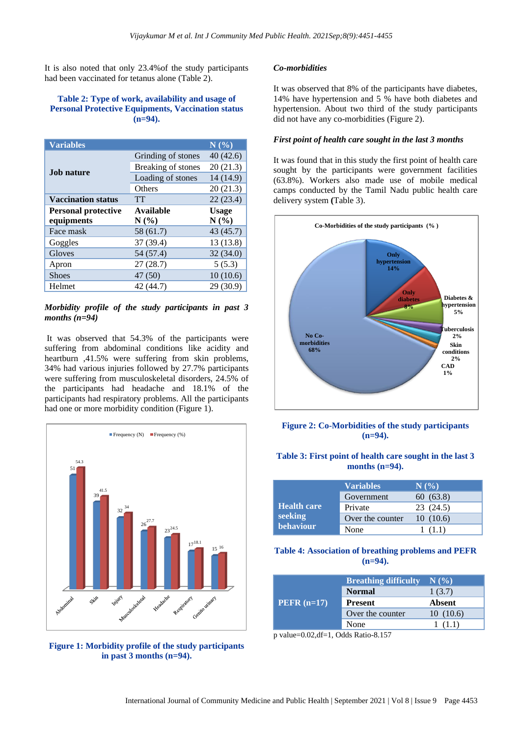It is also noted that only 23.4%of the study participants had been vaccinated for tetanus alone (Table 2).

## **Table 2: Type of work, availability and usage of Personal Protective Equipments, Vaccination status (n=94).**

| <b>Variables</b>           |                    | N(%)         |
|----------------------------|--------------------|--------------|
|                            | Grinding of stones | 40(42.6)     |
| <b>Job nature</b>          | Breaking of stones | 20(21.3)     |
|                            | Loading of stones  | 14 (14.9)    |
|                            | Others             | 20(21.3)     |
| <b>Vaccination status</b>  | TT                 | 22(23.4)     |
| <b>Personal protective</b> | Available          | <b>Usage</b> |
| equipments                 | $N(\%)$            | N(%)         |
| Face mask                  | 58 (61.7)          | 43 (45.7)    |
| Goggles                    | 37 (39.4)          | 13 (13.8)    |
| Gloves                     | 54 (57.4)          | 32(34.0)     |
| Apron                      | 27(28.7)           | 5(5.3)       |
| <b>Shoes</b>               | 47 (50)            | 10(10.6)     |
| Helmet                     | 42 (44.7)          | 29 (30.9)    |

## *Morbidity profile of the study participants in past 3 months (n=94)*

It was observed that 54.3% of the participants were suffering from abdominal conditions like acidity and heartburn ,41.5% were suffering from skin problems, 34% had various injuries followed by 27.7% participants were suffering from musculoskeletal disorders, 24.5% of the participants had headache and 18.1% of the participants had respiratory problems. All the participants had one or more morbidity condition (Figure 1).



**Figure 1: Morbidity profile of the study participants in past 3 months (n=94).**

#### *Co-morbidities*

It was observed that 8% of the participants have diabetes, 14% have hypertension and 5 % have both diabetes and hypertension. About two third of the study participants did not have any co-morbidities (Figure 2).

#### *First point of health care sought in the last 3 months*

It was found that in this study the first point of health care sought by the participants were government facilities (63.8%). Workers also made use of mobile medical camps conducted by the Tamil Nadu public health care delivery system **(**Table 3).



**Figure 2: Co-Morbidities of the study participants (n=94).**

## **Table 3: First point of health care sought in the last 3 months (n=94).**

|                      | <b>Variables</b> | N(%       |
|----------------------|------------------|-----------|
|                      | Government       | 60(63.8)  |
| <b>Health care</b>   | Private          | 23 (24.5) |
| seeking<br>behaviour | Over the counter | 10(10.6)  |
|                      | None             | (1.1)     |

#### **Table 4: Association of breathing problems and PEFR (n=94).**

| $PEFR (n=17)$ | <b>Breathing difficulty</b> | N(%      |
|---------------|-----------------------------|----------|
|               | <b>Normal</b>               | 1(3.7)   |
|               | <b>Present</b>              | Absent   |
|               | Over the counter            | 10(10.6) |
|               | None                        | (1.1)    |

p value=0.02,df=1, Odds Ratio-8.157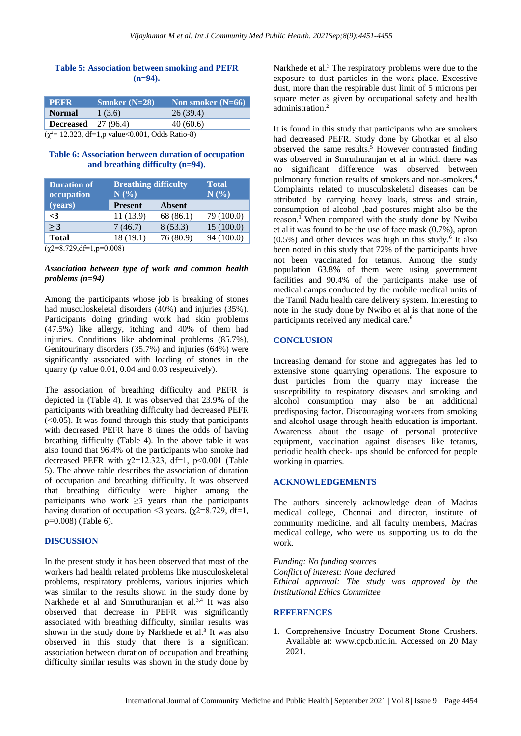#### **Table 5: Association between smoking and PEFR (n=94).**

| <b>PEFR</b>                 | Smoker $(N=28)$                  | Non smoker $(N=66)$ |
|-----------------------------|----------------------------------|---------------------|
| <b>Normal</b>               | 1(3.6)                           | 26(39.4)            |
| <b>Decreased</b> $27(96.4)$ |                                  | 40(60.6)            |
| $\ell$ 2 10.000 $\ell$ 10.1 | $\sim$ 0.001 $\sim$ 11 $\sim$ 0) |                     |

 $(\chi^2 = 12.323, df=1, p \text{ value} < 0.001, Odds Ratio-8)$ 

#### **Table 6: Association between duration of occupation and breathing difficulty (n=94).**

| <b>Duration of</b><br>occupation | <b>Breathing difficulty</b><br>N(%) |               | <b>Total</b><br>$\overline{\mathbf{N}\left(  ^{\theta}\!\!/\!_{\mathbf{0}} \right)}$ |
|----------------------------------|-------------------------------------|---------------|--------------------------------------------------------------------------------------|
| (years)                          | <b>Present</b>                      | <b>Absent</b> |                                                                                      |
| $\leq$ 3                         | 11 (13.9)                           | 68 (86.1)     | 79 (100.0)                                                                           |
| >3                               | 7(46.7)                             | 8(53.3)       | 15(100.0)                                                                            |
| <b>Total</b>                     | 18 (19.1)                           | 76 (80.9)     | 94 (100.0)                                                                           |
| $(y2=8,729,4=1,8=0,008)$         |                                     |               |                                                                                      |

 $(\chi2=8.729, df=1,p=0.008)$ 

#### *Association between type of work and common health problems (n=94)*

Among the participants whose job is breaking of stones had musculoskeletal disorders (40%) and injuries (35%). Participants doing grinding work had skin problems (47.5%) like allergy, itching and 40% of them had injuries. Conditions like abdominal problems (85.7%), Genitourinary disorders (35.7%) and injuries (64%) were significantly associated with loading of stones in the quarry (p value 0.01, 0.04 and 0.03 respectively).

The association of breathing difficulty and PEFR is depicted in (Table 4). It was observed that 23.9% of the participants with breathing difficulty had decreased PEFR  $\left($  <0.05). It was found through this study that participants with decreased PEFR have 8 times the odds of having breathing difficulty (Table 4). In the above table it was also found that 96.4% of the participants who smoke had decreased PEFR with  $\chi$ 2=12.323, df=1, p<0.001 (Table 5). The above table describes the association of duration of occupation and breathing difficulty. It was observed that breathing difficulty were higher among the participants who work  $\geq$ 3 years than the participants having duration of occupation <3 years. ( $\gamma$ 2=8.729, df=1, p=0.008) (Table 6).

## **DISCUSSION**

In the present study it has been observed that most of the workers had health related problems like musculoskeletal problems, respiratory problems, various injuries which was similar to the results shown in the study done by Narkhede et al and Smruthuranjan et al.<sup>3,4</sup> It was also observed that decrease in PEFR was significantly associated with breathing difficulty, similar results was shown in the study done by Narkhede et al. 3 It was also observed in this study that there is a significant association between duration of occupation and breathing difficulty similar results was shown in the study done by

Narkhede et al. <sup>3</sup> The respiratory problems were due to the exposure to dust particles in the work place. Excessive dust, more than the respirable dust limit of 5 microns per square meter as given by occupational safety and health administration. 2

It is found in this study that participants who are smokers had decreased PEFR. Study done by Ghotkar et al also observed the same results. <sup>5</sup> However contrasted finding was observed in Smruthuranjan et al in which there was no significant difference was observed between pulmonary function results of smokers and non-smokers.<sup>4</sup> Complaints related to musculoskeletal diseases can be attributed by carrying heavy loads, stress and strain, consumption of alcohol ,bad postures might also be the reason. <sup>1</sup> When compared with the study done by Nwibo et al it was found to be the use of face mask (0.7%), apron  $(0.5\%)$  and other devices was high in this study.<sup>6</sup> It also been noted in this study that 72% of the participants have not been vaccinated for tetanus. Among the study population 63.8% of them were using government facilities and 90.4% of the participants make use of medical camps conducted by the mobile medical units of the Tamil Nadu health care delivery system. Interesting to note in the study done by Nwibo et al is that none of the participants received any medical care.<sup>6</sup>

#### **CONCLUSION**

Increasing demand for stone and aggregates has led to extensive stone quarrying operations. The exposure to dust particles from the quarry may increase the susceptibility to respiratory diseases and smoking and alcohol consumption may also be an additional predisposing factor. Discouraging workers from smoking and alcohol usage through health education is important. Awareness about the usage of personal protective equipment, vaccination against diseases like tetanus, periodic health check- ups should be enforced for people working in quarries.

#### **ACKNOWLEDGEMENTS**

The authors sincerely acknowledge dean of Madras medical college, Chennai and director, institute of community medicine, and all faculty members, Madras medical college, who were us supporting us to do the work.

*Funding: No funding sources Conflict of interest: None declared Ethical approval: The study was approved by the Institutional Ethics Committee*

#### **REFERENCES**

1. Comprehensive Industry Document Stone Crushers. Available at: www.cpcb.nic.in. Accessed on 20 May 2021.